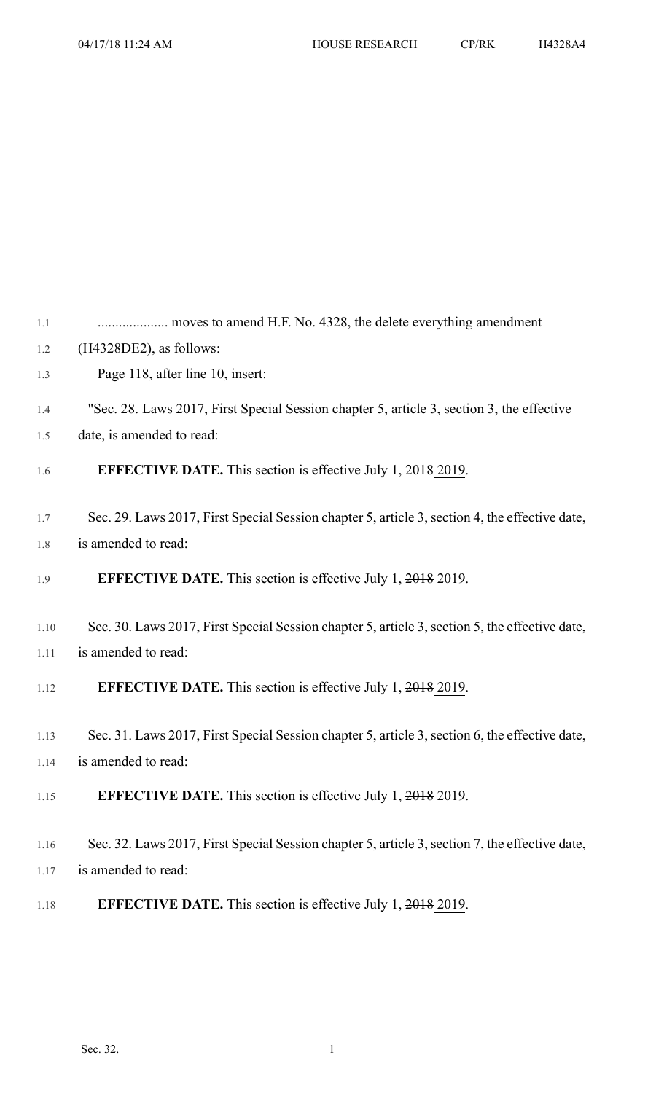| 1.1  |                                                                                                |
|------|------------------------------------------------------------------------------------------------|
| 1.2  | $(H4328DE2)$ , as follows:                                                                     |
| 1.3  | Page 118, after line 10, insert:                                                               |
| 1.4  | "Sec. 28. Laws 2017, First Special Session chapter 5, article 3, section 3, the effective      |
| 1.5  | date, is amended to read:                                                                      |
| 1.6  | <b>EFFECTIVE DATE.</b> This section is effective July 1, 2018 2019.                            |
| 1.7  | Sec. 29. Laws 2017, First Special Session chapter 5, article 3, section 4, the effective date, |
| 1.8  | is amended to read:                                                                            |
| 1.9  | <b>EFFECTIVE DATE.</b> This section is effective July 1, 2018 2019.                            |
| 1.10 | Sec. 30. Laws 2017, First Special Session chapter 5, article 3, section 5, the effective date, |
| 1.11 | is amended to read:                                                                            |
| 1.12 | <b>EFFECTIVE DATE.</b> This section is effective July 1, 2018 2019.                            |
| 1.13 | Sec. 31. Laws 2017, First Special Session chapter 5, article 3, section 6, the effective date, |
| 1.14 | is amended to read:                                                                            |
| 1.15 | <b>EFFECTIVE DATE.</b> This section is effective July 1, 2018 2019.                            |
| 1.16 | Sec. 32. Laws 2017, First Special Session chapter 5, article 3, section 7, the effective date, |
| 1.17 | is amended to read:                                                                            |
| 1.18 | <b>EFFECTIVE DATE.</b> This section is effective July 1, 2018 2019.                            |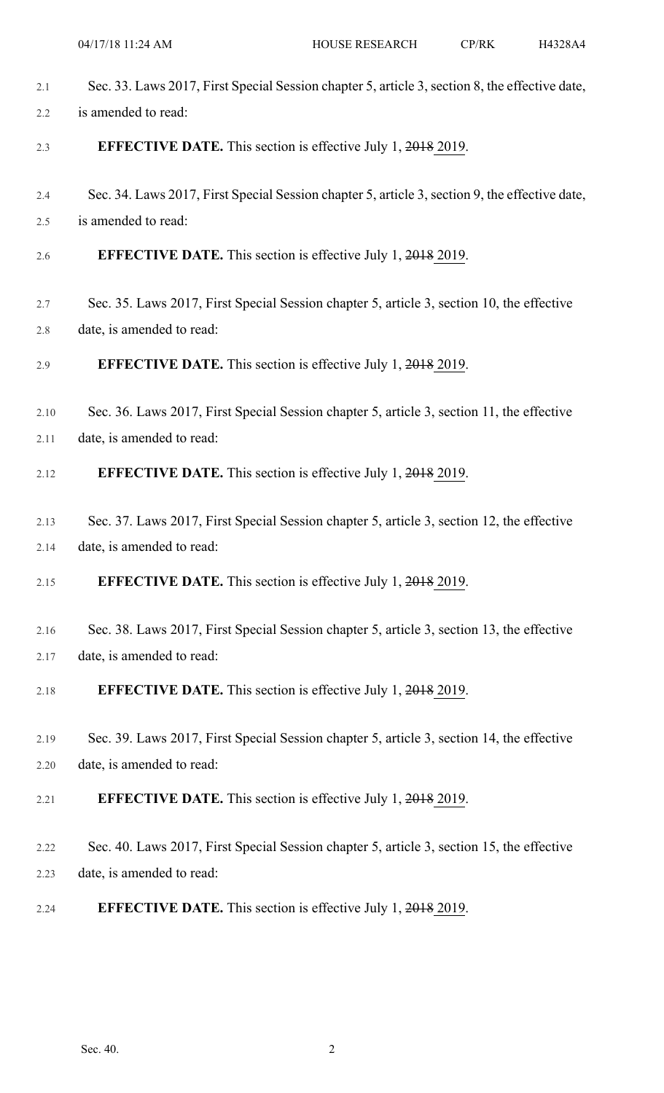| 2.1  | Sec. 33. Laws 2017, First Special Session chapter 5, article 3, section 8, the effective date, |
|------|------------------------------------------------------------------------------------------------|
| 2.2  | is amended to read:                                                                            |
| 2.3  | <b>EFFECTIVE DATE.</b> This section is effective July 1, 2018 2019.                            |
| 2.4  | Sec. 34. Laws 2017, First Special Session chapter 5, article 3, section 9, the effective date, |
| 2.5  | is amended to read:                                                                            |
| 2.6  | <b>EFFECTIVE DATE.</b> This section is effective July 1, 2018 2019.                            |
| 2.7  | Sec. 35. Laws 2017, First Special Session chapter 5, article 3, section 10, the effective      |
| 2.8  | date, is amended to read:                                                                      |
| 2.9  | <b>EFFECTIVE DATE.</b> This section is effective July 1, 2018 2019.                            |
| 2.10 | Sec. 36. Laws 2017, First Special Session chapter 5, article 3, section 11, the effective      |
| 2.11 | date, is amended to read:                                                                      |
| 2.12 | <b>EFFECTIVE DATE.</b> This section is effective July 1, 2018 2019.                            |
| 2.13 | Sec. 37. Laws 2017, First Special Session chapter 5, article 3, section 12, the effective      |
| 2.14 | date, is amended to read:                                                                      |
| 2.15 | <b>EFFECTIVE DATE.</b> This section is effective July 1, 2018 2019.                            |
| 2.16 | Sec. 38. Laws 2017, First Special Session chapter 5, article 3, section 13, the effective      |
| 2.17 | date, is amended to read:                                                                      |
| 2.18 | <b>EFFECTIVE DATE.</b> This section is effective July 1, 2018 2019.                            |
| 2.19 | Sec. 39. Laws 2017, First Special Session chapter 5, article 3, section 14, the effective      |
| 2.20 | date, is amended to read:                                                                      |
| 2.21 | <b>EFFECTIVE DATE.</b> This section is effective July 1, 2018 2019.                            |
| 2.22 | Sec. 40. Laws 2017, First Special Session chapter 5, article 3, section 15, the effective      |
| 2.23 | date, is amended to read:                                                                      |
| 2.24 | <b>EFFECTIVE DATE.</b> This section is effective July 1, 2018 2019.                            |